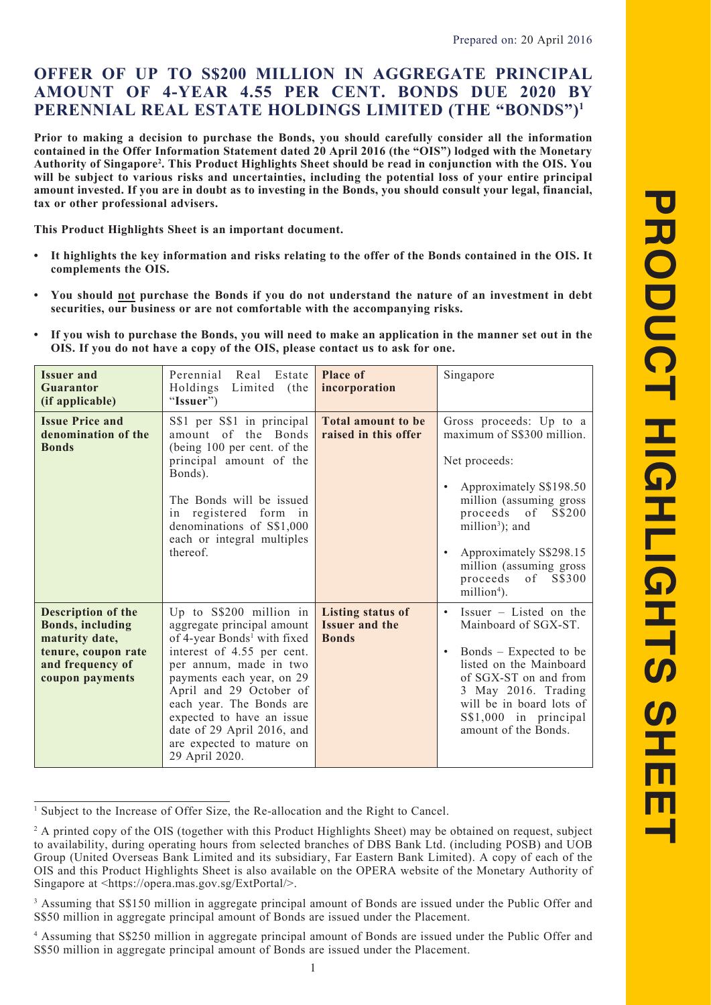# **OFFER OF UP TO S\$200 MILLION IN AGGREGATE PRINCIPAL AMOUNT OF 4-YEAR 4.55 PER CENT. BONDS DUE 2020 BY PERENNIAL REAL ESTATE HOLDINGS LIMITED (THE "BONDS")1**

**Prior to making a decision to purchase the Bonds, you should carefully consider all the information contained in the Offer Information Statement dated 20 April 2016 (the "OIS") lodged with the Monetary Authority of Singapore2 . This Product Highlights Sheet should be read in conjunction with the OIS. You will be subject to various risks and uncertainties, including the potential loss of your entire principal amount invested. If you are in doubt as to investing in the Bonds, you should consult your legal, financial, tax or other professional advisers.**

**This Product Highlights Sheet is an important document.**

- **• It highlights the key information and risks relating to the offer of the Bonds contained in the OIS. It complements the OIS.**
- **• You should not purchase the Bonds if you do not understand the nature of an investment in debt securities, our business or are not comfortable with the accompanying risks.**
- **• If you wish to purchase the Bonds, you will need to make an application in the manner set out in the OIS. If you do not have a copy of the OIS, please contact us to ask for one.**

| <b>Issuer and</b><br><b>Guarantor</b><br>(if applicable)                                                                      | Perennial<br>Real<br>Estate<br>Holdings<br>Limited (the<br>"Issuer")                                                                                                                                                                                                                                                                                     | <b>Place of</b><br>incorporation                                  | Singapore                                                                                                                                                                                                                                                                                                |
|-------------------------------------------------------------------------------------------------------------------------------|----------------------------------------------------------------------------------------------------------------------------------------------------------------------------------------------------------------------------------------------------------------------------------------------------------------------------------------------------------|-------------------------------------------------------------------|----------------------------------------------------------------------------------------------------------------------------------------------------------------------------------------------------------------------------------------------------------------------------------------------------------|
| <b>Issue Price and</b><br>denomination of the<br><b>Bonds</b>                                                                 | S\$1 per S\$1 in principal<br>amount of the Bonds<br>(being 100 per cent. of the<br>principal amount of the<br>Bonds).<br>The Bonds will be issued<br>in registered form in<br>denominations of S\$1,000<br>each or integral multiples<br>thereof.                                                                                                       | <b>Total amount to be</b><br>raised in this offer                 | Gross proceeds: Up to a<br>maximum of S\$300 million.<br>Net proceeds:<br>Approximately S\$198.50<br>million (assuming gross<br>proceeds of<br>S\$200<br>million <sup>3</sup> ); and<br>Approximately S\$298.15<br>$\bullet$<br>million (assuming gross<br>proceeds of S\$300<br>million <sup>4</sup> ). |
| Description of the<br><b>Bonds, including</b><br>maturity date,<br>tenure, coupon rate<br>and frequency of<br>coupon payments | Up to $S\$ 200 million in<br>aggregate principal amount<br>of 4-year Bonds <sup>1</sup> with fixed<br>interest of 4.55 per cent.<br>per annum, made in two<br>payments each year, on 29<br>April and 29 October of<br>each year. The Bonds are<br>expected to have an issue<br>date of 29 April 2016, and<br>are expected to mature on<br>29 April 2020. | <b>Listing status of</b><br><b>Issuer and the</b><br><b>Bonds</b> | Issuer $-$ Listed on the<br>$\bullet$<br>Mainboard of SGX-ST.<br>Bonds – Expected to be<br>$\bullet$<br>listed on the Mainboard<br>of SGX-ST on and from<br>3 May 2016. Trading<br>will be in board lots of<br>S\$1,000 in principal<br>amount of the Bonds.                                             |

<sup>&</sup>lt;sup>1</sup> Subject to the Increase of Offer Size, the Re-allocation and the Right to Cancel.

<sup>&</sup>lt;sup>2</sup> A printed copy of the OIS (together with this Product Highlights Sheet) may be obtained on request, subject to availability, during operating hours from selected branches of DBS Bank Ltd. (including POSB) and UOB Group (United Overseas Bank Limited and its subsidiary, Far Eastern Bank Limited). A copy of each of the OIS and this Product Highlights Sheet is also available on the OPERA website of the Monetary Authority of Singapore at <https://opera.mas.gov.sg/ExtPortal/>.

<sup>&</sup>lt;sup>3</sup> Assuming that S\$150 million in aggregate principal amount of Bonds are issued under the Public Offer and S\$50 million in aggregate principal amount of Bonds are issued under the Placement.

<sup>4</sup> Assuming that S\$250 million in aggregate principal amount of Bonds are issued under the Public Offer and S\$50 million in aggregate principal amount of Bonds are issued under the Placement.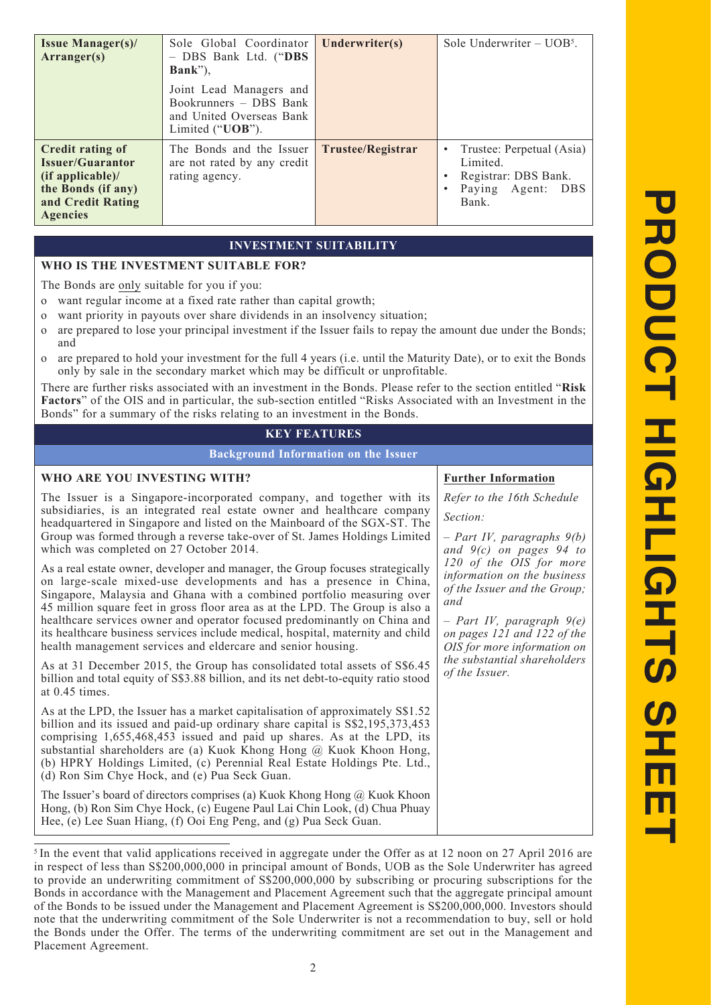| <b>Issue Manager(s)/</b><br>Arranger(s)                                                                                                | Sole Global Coordinator<br>- DBS Bank Ltd. ("DBS<br>$Bank$ "),<br>Joint Lead Managers and<br>Bookrunners - DBS Bank<br>and United Overseas Bank<br>Limited $("UOB")$ . | Underwriter(s)    | Sole Underwriter $-$ UOB <sup>5</sup> .                                                               |
|----------------------------------------------------------------------------------------------------------------------------------------|------------------------------------------------------------------------------------------------------------------------------------------------------------------------|-------------------|-------------------------------------------------------------------------------------------------------|
| <b>Credit rating of</b><br><b>Issuer/Guarantor</b><br>$(if$ applicable)/<br>the Bonds (if any)<br>and Credit Rating<br><b>Agencies</b> | The Bonds and the Issuer<br>are not rated by any credit<br>rating agency.                                                                                              | Trustee/Registrar | Trustee: Perpetual (Asia)<br>Limited.<br>Registrar: DBS Bank.<br>Paying Agent:<br><b>DBS</b><br>Bank. |

#### **INVESTMENT SUITABILITY**

### **WHO IS THE INVESTMENT SUITABLE FOR?**

The Bonds are only suitable for you if you:

- o want regular income at a fixed rate rather than capital growth;
- o want priority in payouts over share dividends in an insolvency situation;
- o are prepared to lose your principal investment if the Issuer fails to repay the amount due under the Bonds; and
- o are prepared to hold your investment for the full 4 years (i.e. until the Maturity Date), or to exit the Bonds only by sale in the secondary market which may be difficult or unprofitable.

There are further risks associated with an investment in the Bonds. Please refer to the section entitled "**Risk Factors**" of the OIS and in particular, the sub-section entitled "Risks Associated with an Investment in the Bonds" for a summary of the risks relating to an investment in the Bonds.

#### **KEY FEATURES**

**Background Information on the Issuer**

#### **WHO ARE YOU INVESTING WITH?** The Issuer is a Singapore-incorporated company, and together with its subsidiaries, is an integrated real estate owner and healthcare company headquartered in Singapore and listed on the Mainboard of the SGX-ST. The Group was formed through a reverse take-over of St. James Holdings Limited which was completed on 27 October 2014. As a real estate owner, developer and manager, the Group focuses strategically on large-scale mixed-use developments and has a presence in China, Singapore, Malaysia and Ghana with a combined portfolio measuring over 45 million square feet in gross floor area as at the LPD. The Group is also a healthcare services owner and operator focused predominantly on China and its healthcare business services include medical, hospital, maternity and child health management services and eldercare and senior housing. As at 31 December 2015, the Group has consolidated total assets of S\$6.45 billion and total equity of S\$3.88 billion, and its net debt-to-equity ratio stood at 0.45 times. As at the LPD, the Issuer has a market capitalisation of approximately S\$1.52 billion and its issued and paid-up ordinary share capital is S\$2,195,373,453 comprising 1,655,468,453 issued and paid up shares. As at the LPD, its substantial shareholders are (a) Kuok Khong Hong @ Kuok Khoon Hong, (b) HPRY Holdings Limited, (c) Perennial Real Estate Holdings Pte. Ltd., (d) Ron Sim Chye Hock, and (e) Pua Seck Guan. The Issuer's board of directors comprises (a) Kuok Khong Hong @ Kuok Khoon Hong, (b) Ron Sim Chye Hock, (c) Eugene Paul Lai Chin Look, (d) Chua Phuay Hee, (e) Lee Suan Hiang, (f) Ooi Eng Peng, and (g) Pua Seck Guan. **Further Information** *Refer to the 16th Schedule Section: – Part IV, paragraphs 9(b) and 9(c) on pages 94 to 120 of the OIS for more information on the business of the Issuer and the Group; and – Part IV, paragraph 9(e) on pages 121 and 122 of the OIS for more information on the substantial shareholders of the Issuer.*

<sup>5</sup> In the event that valid applications received in aggregate under the Offer as at 12 noon on 27 April 2016 are in respect of less than S\$200,000,000 in principal amount of Bonds, UOB as the Sole Underwriter has agreed to provide an underwriting commitment of S\$200,000,000 by subscribing or procuring subscriptions for the Bonds in accordance with the Management and Placement Agreement such that the aggregate principal amount of the Bonds to be issued under the Management and Placement Agreement is S\$200,000,000. Investors should note that the underwriting commitment of the Sole Underwriter is not a recommendation to buy, sell or hold the Bonds under the Offer. The terms of the underwriting commitment are set out in the Management and Placement Agreement.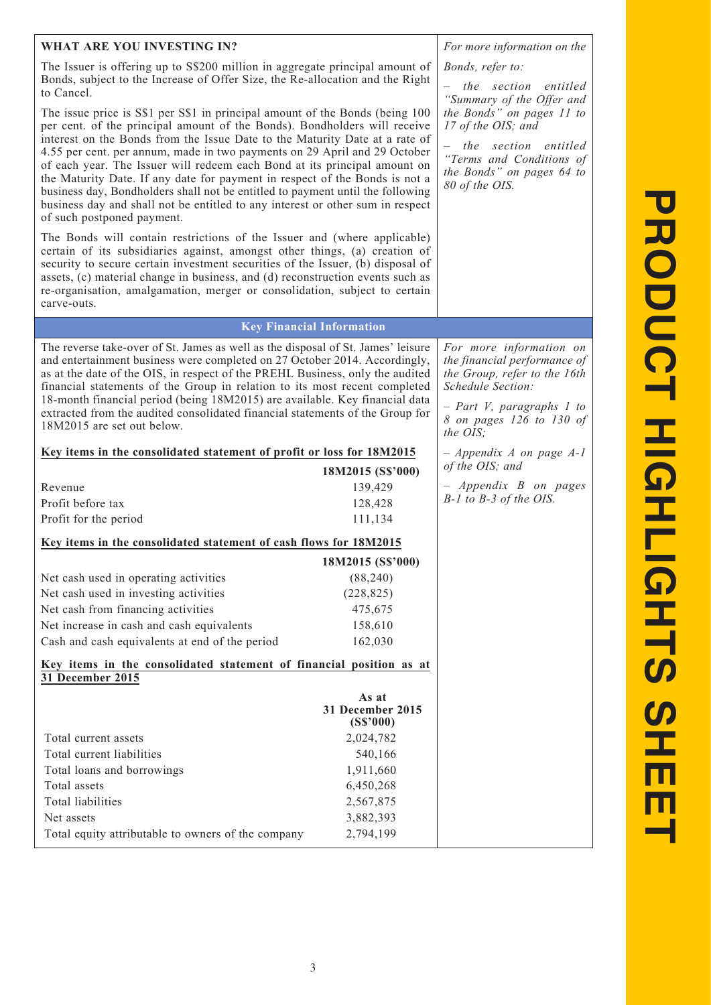| WHAT ARE YOU INVESTING IN?                                                                                                                                                                                                                                                                                                                                                                                                                                                                                                                                                                                                                                                          | For more information on the                                                                                                                        |                                                                                                                                                                                     |
|-------------------------------------------------------------------------------------------------------------------------------------------------------------------------------------------------------------------------------------------------------------------------------------------------------------------------------------------------------------------------------------------------------------------------------------------------------------------------------------------------------------------------------------------------------------------------------------------------------------------------------------------------------------------------------------|----------------------------------------------------------------------------------------------------------------------------------------------------|-------------------------------------------------------------------------------------------------------------------------------------------------------------------------------------|
| The Issuer is offering up to S\$200 million in aggregate principal amount of<br>Bonds, subject to the Increase of Offer Size, the Re-allocation and the Right<br>to Cancel.                                                                                                                                                                                                                                                                                                                                                                                                                                                                                                         | Bonds, refer to:<br>- the section entitled<br>"Summary of the Offer and                                                                            |                                                                                                                                                                                     |
| The issue price is S\$1 per S\$1 in principal amount of the Bonds (being 100<br>per cent. of the principal amount of the Bonds). Bondholders will receive<br>interest on the Bonds from the Issue Date to the Maturity Date at a rate of<br>4.55 per cent. per annum, made in two payments on 29 April and 29 October<br>of each year. The Issuer will redeem each Bond at its principal amount on<br>the Maturity Date. If any date for payment in respect of the Bonds is not a<br>business day, Bondholders shall not be entitled to payment until the following<br>business day and shall not be entitled to any interest or other sum in respect<br>of such postponed payment. | the Bonds" on pages 11 to<br>17 of the OIS; and<br>the section entitled<br>"Terms and Conditions of<br>the Bonds" on pages 64 to<br>80 of the OIS. |                                                                                                                                                                                     |
| The Bonds will contain restrictions of the Issuer and (where applicable)<br>certain of its subsidiaries against, amongst other things, (a) creation of<br>security to secure certain investment securities of the Issuer, (b) disposal of<br>assets, (c) material change in business, and (d) reconstruction events such as<br>re-organisation, amalgamation, merger or consolidation, subject to certain<br>carve-outs.                                                                                                                                                                                                                                                            |                                                                                                                                                    |                                                                                                                                                                                     |
|                                                                                                                                                                                                                                                                                                                                                                                                                                                                                                                                                                                                                                                                                     | <b>Key Financial Information</b>                                                                                                                   |                                                                                                                                                                                     |
| The reverse take-over of St. James as well as the disposal of St. James' leisure<br>and entertainment business were completed on 27 October 2014. Accordingly,<br>as at the date of the OIS, in respect of the PREHL Business, only the audited<br>financial statements of the Group in relation to its most recent completed<br>18-month financial period (being 18M2015) are available. Key financial data<br>extracted from the audited consolidated financial statements of the Group for<br>18M2015 are set out below.                                                                                                                                                         |                                                                                                                                                    | For more information on<br>the financial performance of<br>the Group, refer to the 16th<br>Schedule Section:<br>$-$ Part V, paragraphs 1 to<br>8 on pages 126 to 130 of<br>the OIS; |
| Key items in the consolidated statement of profit or loss for 18M2015                                                                                                                                                                                                                                                                                                                                                                                                                                                                                                                                                                                                               | $-$ Appendix A on page A-1                                                                                                                         |                                                                                                                                                                                     |
|                                                                                                                                                                                                                                                                                                                                                                                                                                                                                                                                                                                                                                                                                     | of the OIS; and                                                                                                                                    |                                                                                                                                                                                     |
| Revenue<br>139,429                                                                                                                                                                                                                                                                                                                                                                                                                                                                                                                                                                                                                                                                  |                                                                                                                                                    | $-$ Appendix B on pages<br>$B-1$ to $B-3$ of the OIS.                                                                                                                               |
| Profit before tax                                                                                                                                                                                                                                                                                                                                                                                                                                                                                                                                                                                                                                                                   | 128,428                                                                                                                                            |                                                                                                                                                                                     |
| Profit for the period                                                                                                                                                                                                                                                                                                                                                                                                                                                                                                                                                                                                                                                               | 111,134                                                                                                                                            |                                                                                                                                                                                     |
| Key items in the consolidated statement of cash flows for 18M2015                                                                                                                                                                                                                                                                                                                                                                                                                                                                                                                                                                                                                   |                                                                                                                                                    |                                                                                                                                                                                     |
|                                                                                                                                                                                                                                                                                                                                                                                                                                                                                                                                                                                                                                                                                     | 18M2015 (S\$'000)                                                                                                                                  |                                                                                                                                                                                     |
| Net cash used in operating activities                                                                                                                                                                                                                                                                                                                                                                                                                                                                                                                                                                                                                                               | (88, 240)                                                                                                                                          |                                                                                                                                                                                     |
| Net cash used in investing activities                                                                                                                                                                                                                                                                                                                                                                                                                                                                                                                                                                                                                                               | (228, 825)                                                                                                                                         |                                                                                                                                                                                     |
| Net cash from financing activities<br>Net increase in cash and cash equivalents                                                                                                                                                                                                                                                                                                                                                                                                                                                                                                                                                                                                     | 475,675<br>158,610                                                                                                                                 |                                                                                                                                                                                     |
| Cash and cash equivalents at end of the period                                                                                                                                                                                                                                                                                                                                                                                                                                                                                                                                                                                                                                      | 162,030                                                                                                                                            |                                                                                                                                                                                     |
| Key items in the consolidated statement of financial position as at                                                                                                                                                                                                                                                                                                                                                                                                                                                                                                                                                                                                                 |                                                                                                                                                    |                                                                                                                                                                                     |
| 31 December 2015                                                                                                                                                                                                                                                                                                                                                                                                                                                                                                                                                                                                                                                                    |                                                                                                                                                    |                                                                                                                                                                                     |
|                                                                                                                                                                                                                                                                                                                                                                                                                                                                                                                                                                                                                                                                                     | As at<br>31 December 2015<br>(S\$'000)                                                                                                             |                                                                                                                                                                                     |
| Total current assets<br>2,024,782                                                                                                                                                                                                                                                                                                                                                                                                                                                                                                                                                                                                                                                   |                                                                                                                                                    |                                                                                                                                                                                     |
| Total current liabilities<br>540,166                                                                                                                                                                                                                                                                                                                                                                                                                                                                                                                                                                                                                                                |                                                                                                                                                    |                                                                                                                                                                                     |
| 1,911,660<br>Total loans and borrowings                                                                                                                                                                                                                                                                                                                                                                                                                                                                                                                                                                                                                                             |                                                                                                                                                    |                                                                                                                                                                                     |
| Total assets                                                                                                                                                                                                                                                                                                                                                                                                                                                                                                                                                                                                                                                                        | 6,450,268                                                                                                                                          |                                                                                                                                                                                     |
| <b>Total liabilities</b>                                                                                                                                                                                                                                                                                                                                                                                                                                                                                                                                                                                                                                                            | 2,567,875                                                                                                                                          |                                                                                                                                                                                     |
| Net assets<br>Total equity attributable to owners of the company                                                                                                                                                                                                                                                                                                                                                                                                                                                                                                                                                                                                                    | 3,882,393<br>2,794,199                                                                                                                             |                                                                                                                                                                                     |
|                                                                                                                                                                                                                                                                                                                                                                                                                                                                                                                                                                                                                                                                                     |                                                                                                                                                    |                                                                                                                                                                                     |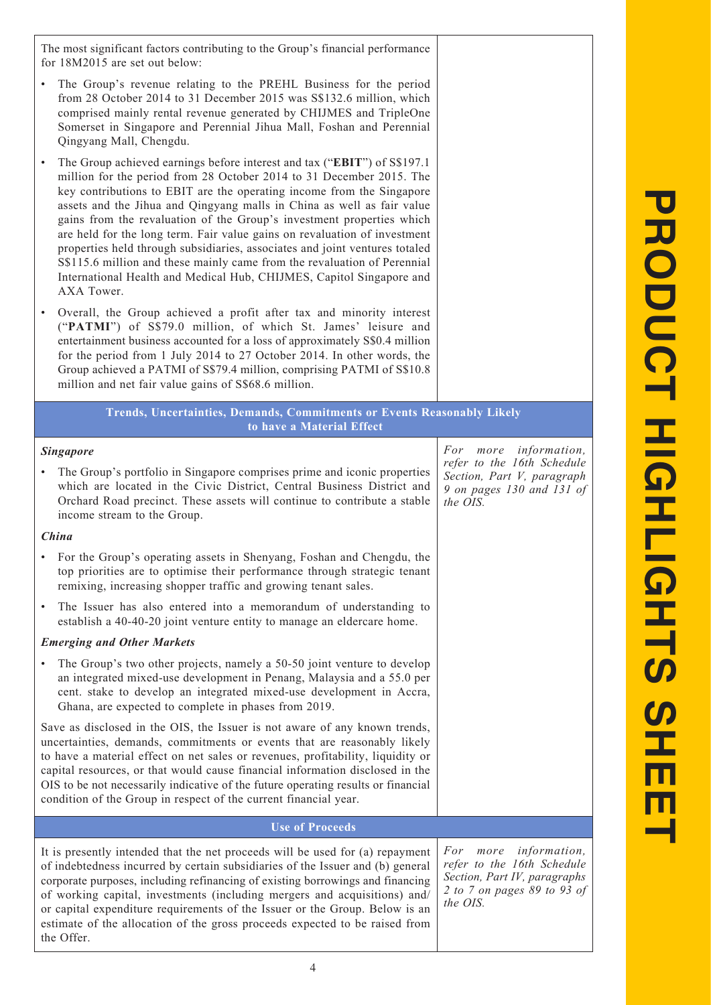The most significant factors contributing to the Group's financial performance for 18M2015 are set out below: • The Group's revenue relating to the PREHL Business for the period from 28 October 2014 to 31 December 2015 was S\$132.6 million, which comprised mainly rental revenue generated by CHIJMES and TripleOne Somerset in Singapore and Perennial Jihua Mall, Foshan and Perennial Qingyang Mall, Chengdu. • The Group achieved earnings before interest and tax ("**EBIT**") of S\$197.1 million for the period from 28 October 2014 to 31 December 2015. The key contributions to EBIT are the operating income from the Singapore assets and the Jihua and Qingyang malls in China as well as fair value gains from the revaluation of the Group's investment properties which are held for the long term. Fair value gains on revaluation of investment properties held through subsidiaries, associates and joint ventures totaled S\$115.6 million and these mainly came from the revaluation of Perennial International Health and Medical Hub, CHIJMES, Capitol Singapore and AXA Tower. • Overall, the Group achieved a profit after tax and minority interest ("**PATMI**") of S\$79.0 million, of which St. James' leisure and entertainment business accounted for a loss of approximately S\$0.4 million for the period from 1 July 2014 to 27 October 2014. In other words, the Group achieved a PATMI of S\$79.4 million, comprising PATMI of S\$10.8 million and net fair value gains of S\$68.6 million. **Trends, Uncertainties, Demands, Commitments or Events Reasonably Likely to have a Material Effect** *Singapore* • The Group's portfolio in Singapore comprises prime and iconic properties which are located in the Civic District, Central Business District and Orchard Road precinct. These assets will continue to contribute a stable income stream to the Group. *China* • For the Group's operating assets in Shenyang, Foshan and Chengdu, the top priorities are to optimise their performance through strategic tenant remixing, increasing shopper traffic and growing tenant sales. The Issuer has also entered into a memorandum of understanding to establish a 40-40-20 joint venture entity to manage an eldercare home. *Emerging and Other Markets* The Group's two other projects, namely a 50-50 joint venture to develop an integrated mixed-use development in Penang, Malaysia and a 55.0 per cent. stake to develop an integrated mixed-use development in Accra, Ghana, are expected to complete in phases from 2019. Save as disclosed in the OIS, the Issuer is not aware of any known trends, uncertainties, demands, commitments or events that are reasonably likely to have a material effect on net sales or revenues, profitability, liquidity or capital resources, or that would cause financial information disclosed in the OIS to be not necessarily indicative of the future operating results or financial condition of the Group in respect of the current financial year. *For more information, refer to the 16th Schedule Section, Part V, paragraph 9 on pages 130 and 131 of the OIS.* **Use of Proceeds** It is presently intended that the net proceeds will be used for (a) repayment of indebtedness incurred by certain subsidiaries of the Issuer and (b) general corporate purposes, including refinancing of existing borrowings and financing of working capital, investments (including mergers and acquisitions) and/ or capital expenditure requirements of the Issuer or the Group. Below is an estimate of the allocation of the gross proceeds expected to be raised from *For more information, refer to the 16th Schedule Section, Part IV, paragraphs 2 to 7 on pages 89 to 93 of the OIS.*

the Offer.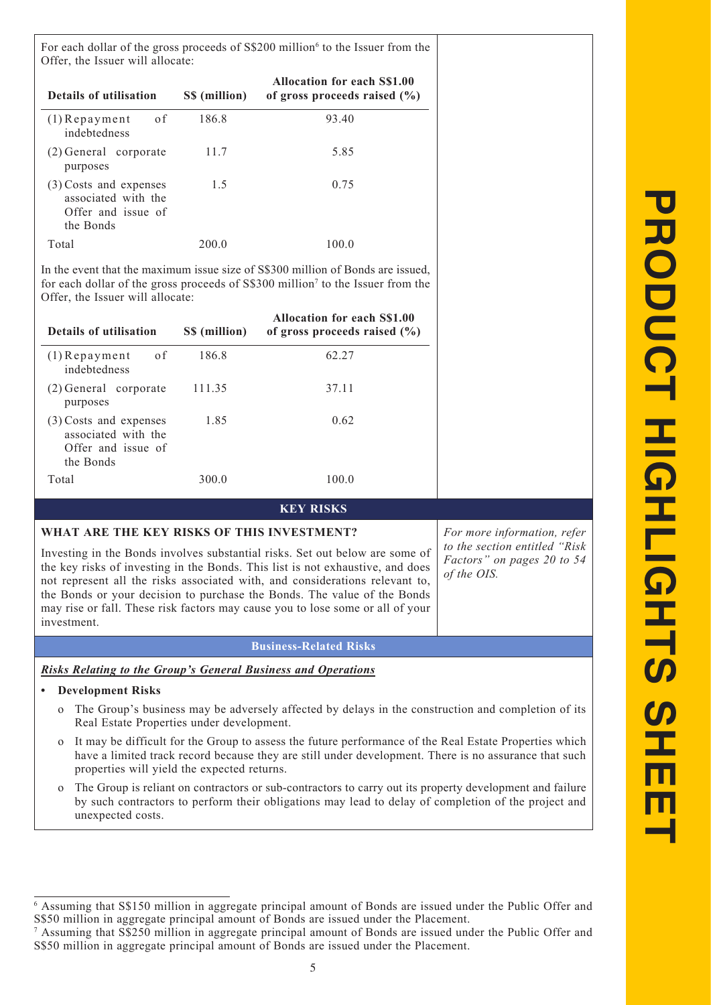For each dollar of the gross proceeds of S\$200 million<sup>6</sup> to the Issuer from the Offer, the Issuer will allocate:

| <b>Details of utilisation</b>                                                    | S\$ (million) | <b>Allocation for each S\$1.00</b><br>of gross proceeds raised $(\% )$ |
|----------------------------------------------------------------------------------|---------------|------------------------------------------------------------------------|
| of<br>$(1)$ Repayment<br>indebtedness                                            | 186.8         | 93.40                                                                  |
| (2) General corporate<br>purposes                                                | 11.7          | 5.85                                                                   |
| (3) Costs and expenses<br>associated with the<br>Offer and issue of<br>the Bonds | 1.5           | 0.75                                                                   |
| Total                                                                            | 200 O         | 100 0                                                                  |

In the event that the maximum issue size of S\$300 million of Bonds are issued, for each dollar of the gross proceeds of S\$300 million<sup>7</sup> to the Issuer from the Offer, the Issuer will allocate:

| <b>Details of utilisation</b>                                                    | S\$ (million) | <b>Allocation for each S\$1.00</b><br>of gross proceeds raised $(\% )$ |
|----------------------------------------------------------------------------------|---------------|------------------------------------------------------------------------|
| - o f<br>$(1)$ Repayment<br>indebtedness                                         | 186.8         | 62.27                                                                  |
| (2) General corporate<br>purposes                                                | 111.35        | 37.11                                                                  |
| (3) Costs and expenses<br>associated with the<br>Offer and issue of<br>the Bonds | 1.85          | 0.62                                                                   |
| Total                                                                            | 300 O         | 100.0                                                                  |

### **KEY RISKS**

### **WHAT ARE THE KEY RISKS OF THIS INVESTMENT?**

Investing in the Bonds involves substantial risks. Set out below are some of the key risks of investing in the Bonds. This list is not exhaustive, and does not represent all the risks associated with, and considerations relevant to, the Bonds or your decision to purchase the Bonds. The value of the Bonds may rise or fall. These risk factors may cause you to lose some or all of your investment.

### **Business-Related Risks**

*Risks Relating to the Group's General Business and Operations*

### **• Development Risks**

- o The Group's business may be adversely affected by delays in the construction and completion of its Real Estate Properties under development.
- o It may be difficult for the Group to assess the future performance of the Real Estate Properties which have a limited track record because they are still under development. There is no assurance that such properties will yield the expected returns.
- o The Group is reliant on contractors or sub-contractors to carry out its property development and failure by such contractors to perform their obligations may lead to delay of completion of the project and unexpected costs.

*For more information, refer to the section entitled "Risk Factors" on pages 20 to 54 of the OIS.*

<sup>6</sup> Assuming that S\$150 million in aggregate principal amount of Bonds are issued under the Public Offer and S\$50 million in aggregate principal amount of Bonds are issued under the Placement.

<sup>7</sup> Assuming that S\$250 million in aggregate principal amount of Bonds are issued under the Public Offer and S\$50 million in aggregate principal amount of Bonds are issued under the Placement.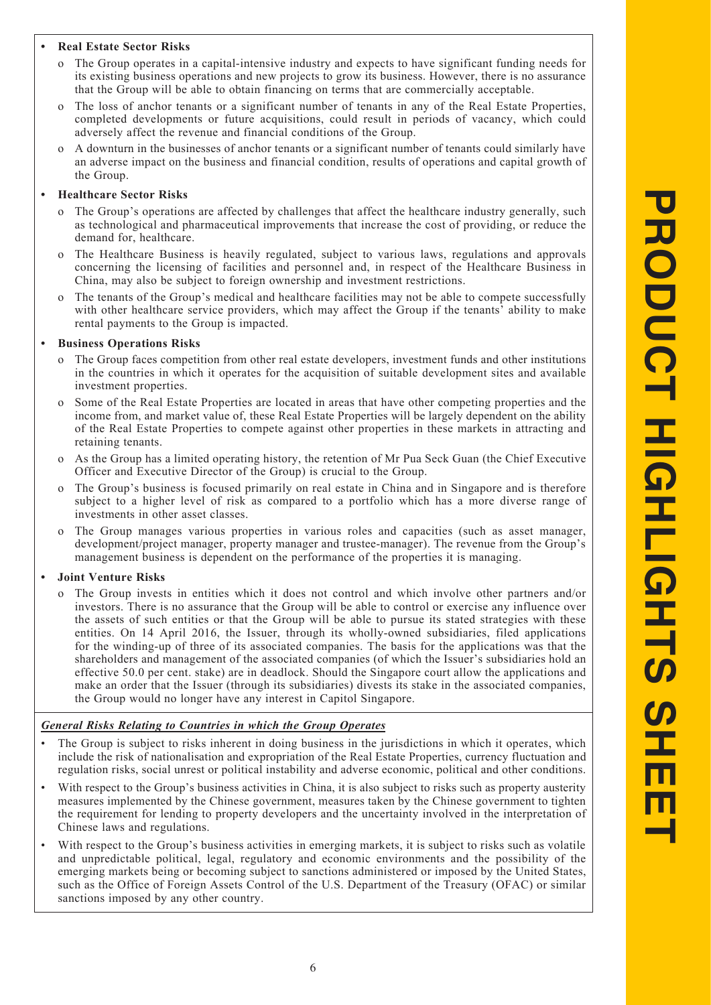#### **• Real Estate Sector Risks**

- The Group operates in a capital-intensive industry and expects to have significant funding needs for its existing business operations and new projects to grow its business. However, there is no assurance that the Group will be able to obtain financing on terms that are commercially acceptable.
- The loss of anchor tenants or a significant number of tenants in any of the Real Estate Properties, completed developments or future acquisitions, could result in periods of vacancy, which could adversely affect the revenue and financial conditions of the Group.
- A downturn in the businesses of anchor tenants or a significant number of tenants could similarly have an adverse impact on the business and financial condition, results of operations and capital growth of the Group.

#### **• Healthcare Sector Risks**

- The Group's operations are affected by challenges that affect the healthcare industry generally, such as technological and pharmaceutical improvements that increase the cost of providing, or reduce the demand for, healthcare.
- o The Healthcare Business is heavily regulated, subject to various laws, regulations and approvals concerning the licensing of facilities and personnel and, in respect of the Healthcare Business in China, may also be subject to foreign ownership and investment restrictions.
- The tenants of the Group's medical and healthcare facilities may not be able to compete successfully with other healthcare service providers, which may affect the Group if the tenants' ability to make rental payments to the Group is impacted.

#### **• Business Operations Risks**

- The Group faces competition from other real estate developers, investment funds and other institutions in the countries in which it operates for the acquisition of suitable development sites and available investment properties.
- o Some of the Real Estate Properties are located in areas that have other competing properties and the income from, and market value of, these Real Estate Properties will be largely dependent on the ability of the Real Estate Properties to compete against other properties in these markets in attracting and retaining tenants.
- o As the Group has a limited operating history, the retention of Mr Pua Seck Guan (the Chief Executive Officer and Executive Director of the Group) is crucial to the Group.
- The Group's business is focused primarily on real estate in China and in Singapore and is therefore subject to a higher level of risk as compared to a portfolio which has a more diverse range of investments in other asset classes.
- The Group manages various properties in various roles and capacities (such as asset manager, development/project manager, property manager and trustee-manager). The revenue from the Group's management business is dependent on the performance of the properties it is managing.

#### **• Joint Venture Risks**

o The Group invests in entities which it does not control and which involve other partners and/or investors. There is no assurance that the Group will be able to control or exercise any influence over the assets of such entities or that the Group will be able to pursue its stated strategies with these entities. On 14 April 2016, the Issuer, through its wholly-owned subsidiaries, filed applications for the winding-up of three of its associated companies. The basis for the applications was that the shareholders and management of the associated companies (of which the Issuer's subsidiaries hold an effective 50.0 per cent. stake) are in deadlock. Should the Singapore court allow the applications and make an order that the Issuer (through its subsidiaries) divests its stake in the associated companies, the Group would no longer have any interest in Capitol Singapore.

#### *General Risks Relating to Countries in which the Group Operates*

- The Group is subject to risks inherent in doing business in the jurisdictions in which it operates, which include the risk of nationalisation and expropriation of the Real Estate Properties, currency fluctuation and regulation risks, social unrest or political instability and adverse economic, political and other conditions.
- With respect to the Group's business activities in China, it is also subject to risks such as property austerity measures implemented by the Chinese government, measures taken by the Chinese government to tighten the requirement for lending to property developers and the uncertainty involved in the interpretation of Chinese laws and regulations.
- With respect to the Group's business activities in emerging markets, it is subject to risks such as volatile and unpredictable political, legal, regulatory and economic environments and the possibility of the emerging markets being or becoming subject to sanctions administered or imposed by the United States, such as the Office of Foreign Assets Control of the U.S. Department of the Treasury (OFAC) or similar sanctions imposed by any other country.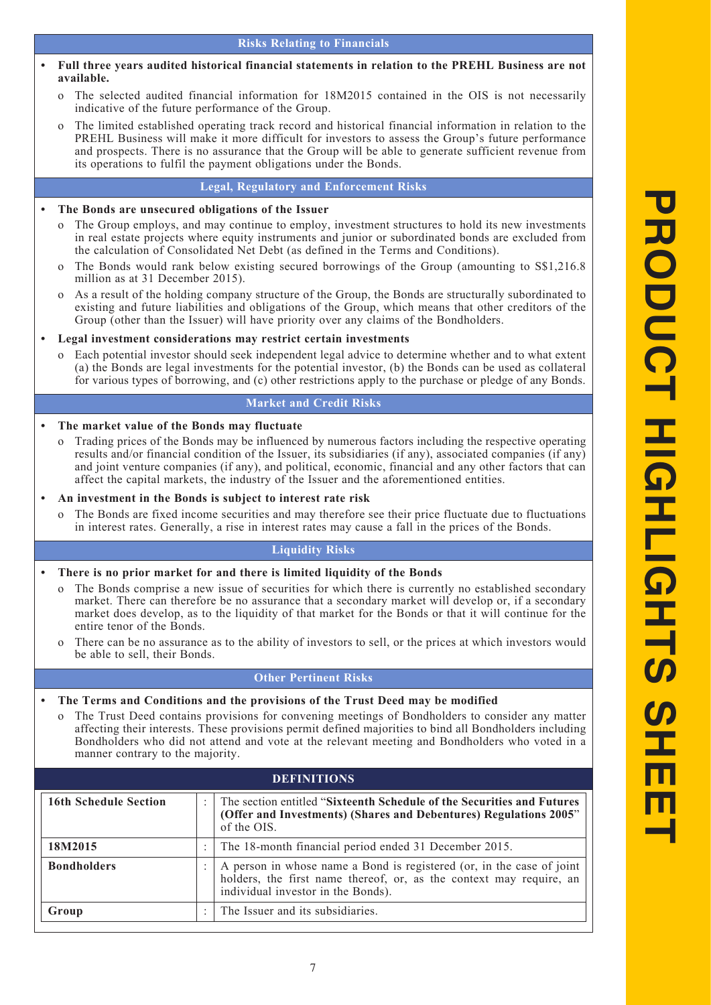- **• Full three years audited historical financial statements in relation to the PREHL Business are not available.**
	- The selected audited financial information for  $18M2015$  contained in the OIS is not necessarily indicative of the future performance of the Group.
	- The limited established operating track record and historical financial information in relation to the PREHL Business will make it more difficult for investors to assess the Group's future performance and prospects. There is no assurance that the Group will be able to generate sufficient revenue from its operations to fulfil the payment obligations under the Bonds.

#### **Legal, Regulatory and Enforcement Risks**

#### **• The Bonds are unsecured obligations of the Issuer**

- The Group employs, and may continue to employ, investment structures to hold its new investments in real estate projects where equity instruments and junior or subordinated bonds are excluded from the calculation of Consolidated Net Debt (as defined in the Terms and Conditions).
- The Bonds would rank below existing secured borrowings of the Group (amounting to S\$1,216.8) million as at 31 December 2015).
- o As a result of the holding company structure of the Group, the Bonds are structurally subordinated to existing and future liabilities and obligations of the Group, which means that other creditors of the Group (other than the Issuer) will have priority over any claims of the Bondholders.

#### **• Legal investment considerations may restrict certain investments**

o Each potential investor should seek independent legal advice to determine whether and to what extent (a) the Bonds are legal investments for the potential investor, (b) the Bonds can be used as collateral for various types of borrowing, and (c) other restrictions apply to the purchase or pledge of any Bonds.

### **Market and Credit Risks**

#### **• The market value of the Bonds may fluctuate**

o Trading prices of the Bonds may be influenced by numerous factors including the respective operating results and/or financial condition of the Issuer, its subsidiaries (if any), associated companies (if any) and joint venture companies (if any), and political, economic, financial and any other factors that can affect the capital markets, the industry of the Issuer and the aforementioned entities.

#### **• An investment in the Bonds is subject to interest rate risk**

The Bonds are fixed income securities and may therefore see their price fluctuate due to fluctuations in interest rates. Generally, a rise in interest rates may cause a fall in the prices of the Bonds.

### **Liquidity Risks**

#### **• There is no prior market for and there is limited liquidity of the Bonds**

- o The Bonds comprise a new issue of securities for which there is currently no established secondary market. There can therefore be no assurance that a secondary market will develop or, if a secondary market does develop, as to the liquidity of that market for the Bonds or that it will continue for the entire tenor of the Bonds.
- o There can be no assurance as to the ability of investors to sell, or the prices at which investors would be able to sell, their Bonds.

#### **Other Pertinent Risks**

- **• The Terms and Conditions and the provisions of the Trust Deed may be modified**
	- o The Trust Deed contains provisions for convening meetings of Bondholders to consider any matter affecting their interests. These provisions permit defined majorities to bind all Bondholders including Bondholders who did not attend and vote at the relevant meeting and Bondholders who voted in a manner contrary to the majority.

| <b>DEFINITIONS</b>           |   |                                                                                                                                                                                    |
|------------------------------|---|------------------------------------------------------------------------------------------------------------------------------------------------------------------------------------|
| <b>16th Schedule Section</b> | ٠ | The section entitled "Sixteenth Schedule of the Securities and Futures"<br>(Offer and Investments) (Shares and Debentures) Regulations 2005"<br>of the OIS.                        |
| 18M2015                      |   | The 18-month financial period ended 31 December 2015.                                                                                                                              |
| <b>Bondholders</b>           |   | A person in whose name a Bond is registered (or, in the case of joint<br>holders, the first name thereof, or, as the context may require, an<br>individual investor in the Bonds). |
| Group                        | ٠ | The Issuer and its subsidiaries.                                                                                                                                                   |